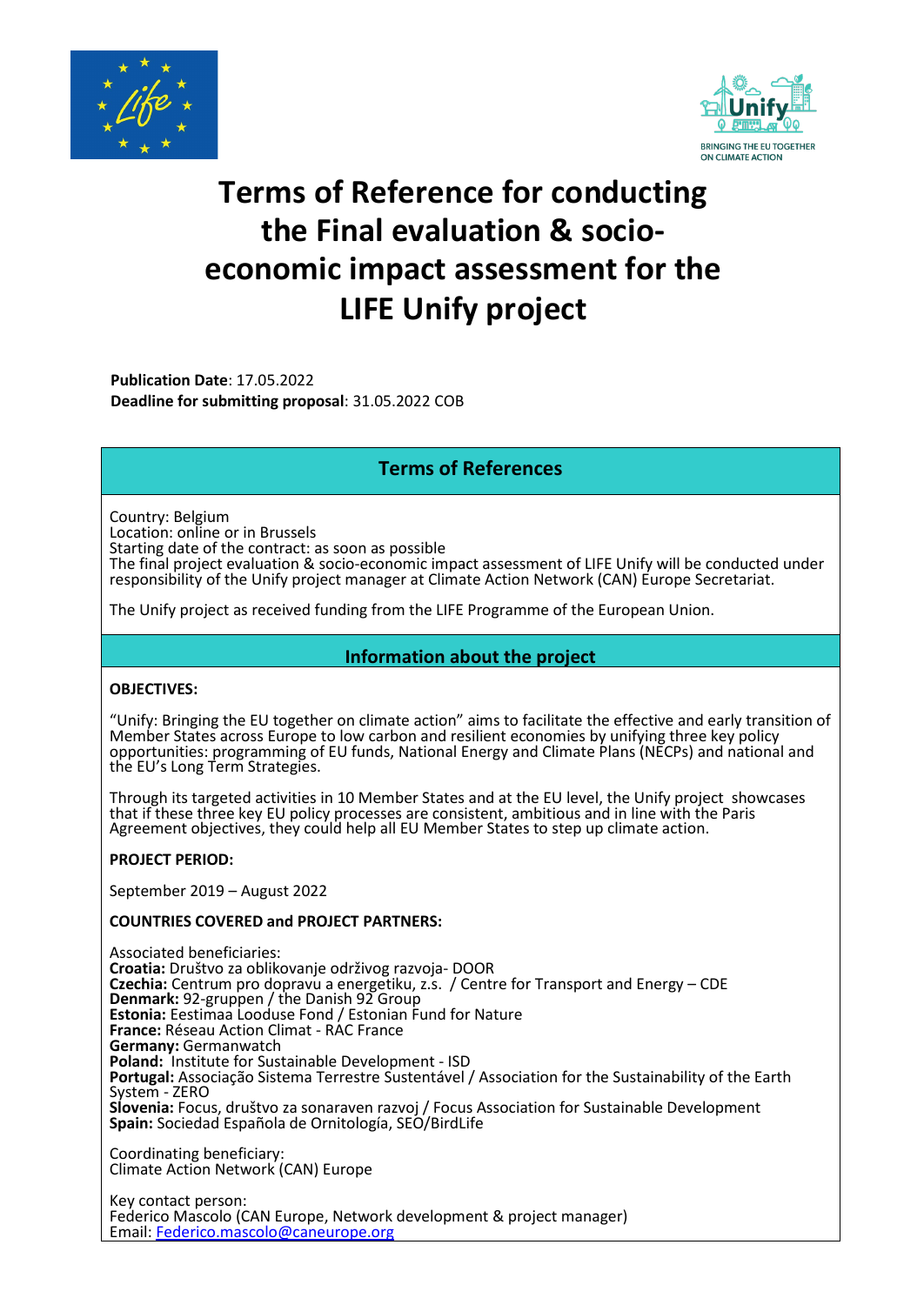



# **Terms of Reference for conducting the Final evaluation & socioeconomic impact assessment for the LIFE Unify project**

**Publication Date**: 17.05.2022 **Deadline for submitting proposal**: 31.05.2022 COB

## **Terms of References**

Country: Belgium Location: online or in Brussels Starting date of the contract: as soon as possible

The final project evaluation & socio-economic impact assessment of LIFE Unify will be conducted under responsibility of the Unify project manager at Climate Action Network (CAN) Europe Secretariat.

The Unify project as received funding from the LIFE Programme of the European Union.

#### **Information about the project**

#### **OBJECTIVES:**

"Unify: Bringing the EU together on climate action" aims to facilitate the effective and early transition of Member States across Europe to low carbon and resilient economies by unifying three key policy opportunities: programming of EU funds, National Energy and Climate Plans (NECPs) and national and the EU's Long Term Strategies.

Through its targeted activities in 10 Member States and at the EU level, the Unify project showcases that if these three key EU policy processes are consistent, ambitious and in line with the Paris Agreement objectives, they could help all EU Member States to step up climate action.

#### **PROJECT PERIOD:**

September 2019 – August 2022

#### **COUNTRIES COVERED and PROJECT PARTNERS:**

Associated beneficiaries: **Croatia:** Društvo za oblikovanje održivog razvoja- DOOR **Czechia:** Centrum pro dopravu a energetiku, z.s. / Centre for Transport and Energy – CDE **Denmark:** 92-gruppen / the Danish 92 Group **Estonia:** Eestimaa Looduse Fond / Estonian Fund for Nature **France:** Réseau Action Climat - RAC France **Germany:** Germanwatch **Poland:** Institute for Sustainable Development - ISD **Portugal:** Associação Sistema Terrestre Sustentável / Association for the Sustainability of the Earth System - ZERO **Slovenia:** Focus, društvo za sonaraven razvoj / Focus Association for Sustainable Development **Spain:** Sociedad Española de Ornitología, SEO/BirdLife

Coordinating beneficiary: Climate Action Network (CAN) Europe

Key contact person: Federico Mascolo (CAN Europe, Network development & project manager) Email[: Federico.mascolo@caneurope.org](mailto:Federico.mascolo@caneurope.org)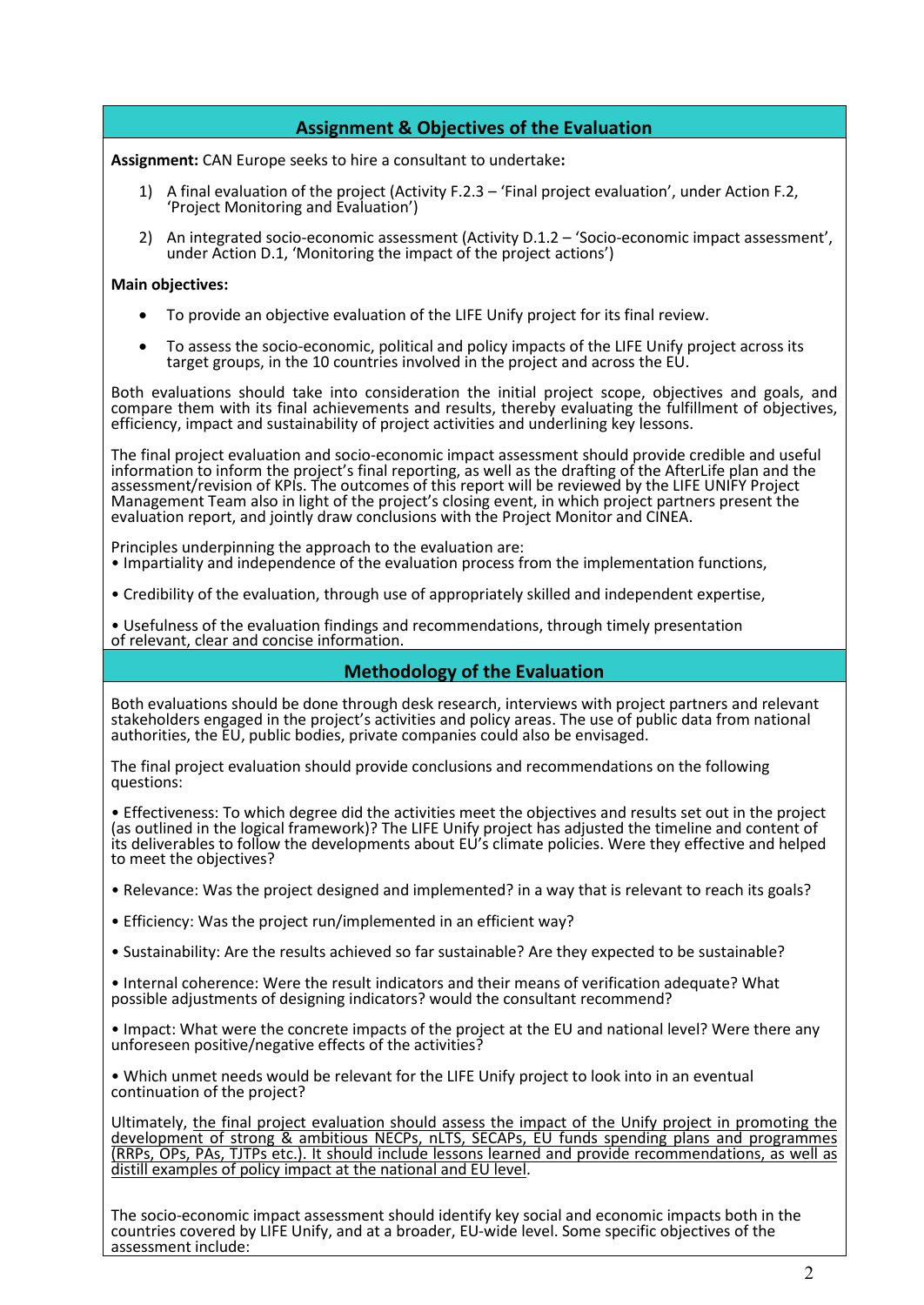## **Assignment & Objectives of the Evaluation**

**Assignment:** CAN Europe seeks to hire a consultant to undertake**:** 

- 1) A final evaluation of the project (Activity F.2.3 'Final project evaluation', under Action F.2, 'Project Monitoring and Evaluation')
- 2) An integrated socio-economic assessment (Activity D.1.2 'Socio-economic impact assessment', under Action D.1, 'Monitoring the impact of the project actions')

#### **Main objectives:**

- To provide an objective evaluation of the LIFE Unify project for its final review.
- To assess the socio-economic, political and policy impacts of the LIFE Unify project across its target groups, in the 10 countries involved in the project and across the EU.

Both evaluations should take into consideration the initial project scope, objectives and goals, and compare them with its final achievements and results, thereby evaluating the fulfillment of objectives, efficiency, impact and sustainability of project activities and underlining key lessons.

The final project evaluation and socio-economic impact assessment should provide credible and useful information to inform the project's final reporting, as well as the drafting of the AfterLife plan and the assessment/revision of KPIs. The outcomes of this report will be reviewed by the LIFE UNIFY Project Management Team also in light of the project's closing event, in which project partners present the evaluation report, and jointly draw conclusions with the Project Monitor and CINEA.

Principles underpinning the approach to the evaluation are: • Impartiality and independence of the evaluation process from the implementation functions,

• Credibility of the evaluation, through use of appropriately skilled and independent expertise,

• Usefulness of the evaluation findings and recommendations, through timely presentation of relevant, clear and concise information.

## **Methodology of the Evaluation**

Both evaluations should be done through desk research, interviews with project partners and relevant stakeholders engaged in the project's activities and policy areas. The use of public data from national authorities, the EU, public bodies, private companies could also be envisaged.

The final project evaluation should provide conclusions and recommendations on the following questions:

• Effectiveness: To which degree did the activities meet the objectives and results set out in the project (as outlined in the logical framework)? The LIFE Unify project has adjusted the timeline and content of its deliverables to follow the developments about EU's climate policies. Were they effective and helped to meet the objectives?

• Relevance: Was the project designed and implemented? in a way that is relevant to reach its goals?

- Efficiency: Was the project run/implemented in an efficient way?
- Sustainability: Are the results achieved so far sustainable? Are they expected to be sustainable?

• Internal coherence: Were the result indicators and their means of verification adequate? What possible adjustments of designing indicators? would the consultant recommend?

• Impact: What were the concrete impacts of the project at the EU and national level? Were there any unforeseen positive/negative effects of the activities?

• Which unmet needs would be relevant for the LIFE Unify project to look into in an eventual continuation of the project?

Ultimately, the final project evaluation should assess the impact of the Unify project in promoting the development of strong & ambitious NECPs, nLTS, SECAPs, EU funds spending plans and programmes (RRPs, OPs, PAs, TJTPs etc.). It should include lessons learned and provide recommendations, as well as distill examples of policy impact at the national and EU level.

The socio-economic impact assessment should identify key social and economic impacts both in the countries covered by LIFE Unify, and at a broader, EU-wide level. Some specific objectives of the assessment include: